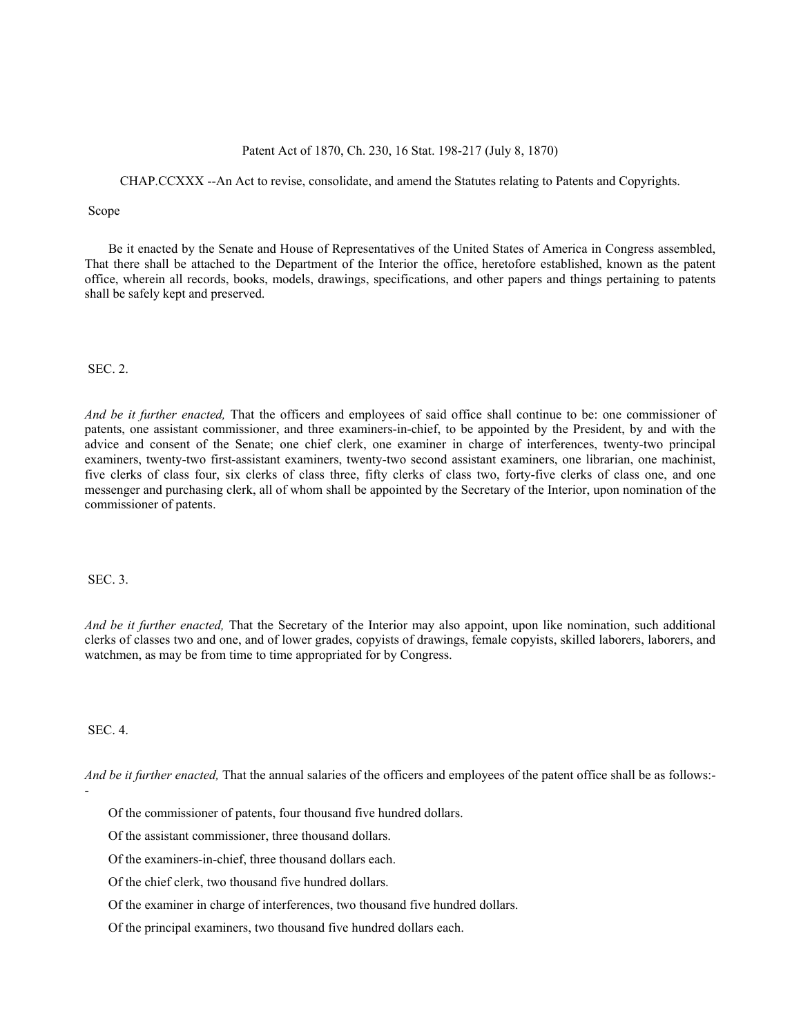# Patent Act of 1870, Ch. 230, 16 Stat. 198-217 (July 8, 1870)

# CHAP.CCXXX --An Act to revise, consolidate, and amend the Statutes relating to Patents and Copyrights.

### Scope

Be it enacted by the Senate and House of Representatives of the United States of America in Congress assembled, That there shall be attached to the Department of the Interior the office, heretofore established, known as the patent office, wherein all records, books, models, drawings, specifications, and other papers and things pertaining to patents shall be safely kept and preserved.

#### SEC. 2.

*And be it further enacted,* That the officers and employees of said office shall continue to be: one commissioner of patents, one assistant commissioner, and three examiners-in-chief, to be appointed by the President, by and with the advice and consent of the Senate; one chief clerk, one examiner in charge of interferences, twenty-two principal examiners, twenty-two first-assistant examiners, twenty-two second assistant examiners, one librarian, one machinist, five clerks of class four, six clerks of class three, fifty clerks of class two, forty-five clerks of class one, and one messenger and purchasing clerk, all of whom shall be appointed by the Secretary of the Interior, upon nomination of the commissioner of patents.

SEC. 3.

*And be it further enacted,* That the Secretary of the Interior may also appoint, upon like nomination, such additional clerks of classes two and one, and of lower grades, copyists of drawings, female copyists, skilled laborers, laborers, and watchmen, as may be from time to time appropriated for by Congress.

SEC. 4.

-

*And be it further enacted,* That the annual salaries of the officers and employees of the patent office shall be as follows:-

Of the commissioner of patents, four thousand five hundred dollars.

Of the assistant commissioner, three thousand dollars.

Of the examiners-in-chief, three thousand dollars each.

Of the chief clerk, two thousand five hundred dollars.

Of the examiner in charge of interferences, two thousand five hundred dollars.

Of the principal examiners, two thousand five hundred dollars each.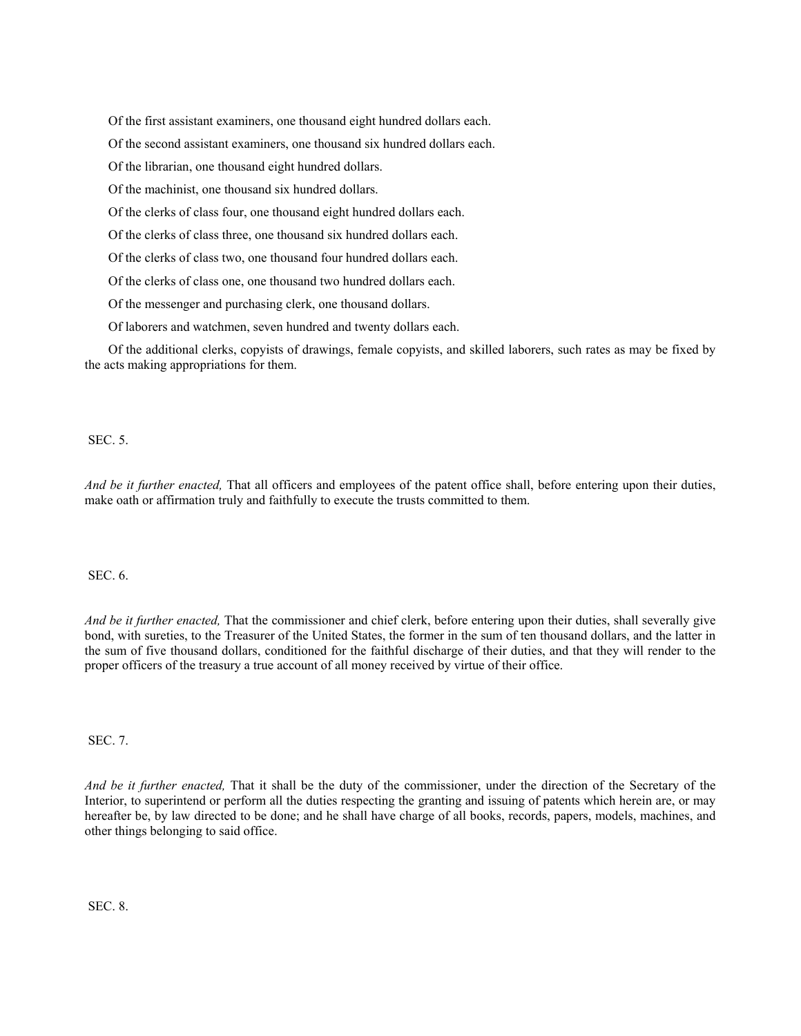Of the first assistant examiners, one thousand eight hundred dollars each.

Of the second assistant examiners, one thousand six hundred dollars each.

Of the librarian, one thousand eight hundred dollars.

Of the machinist, one thousand six hundred dollars.

Of the clerks of class four, one thousand eight hundred dollars each.

Of the clerks of class three, one thousand six hundred dollars each.

Of the clerks of class two, one thousand four hundred dollars each.

Of the clerks of class one, one thousand two hundred dollars each.

Of the messenger and purchasing clerk, one thousand dollars.

Of laborers and watchmen, seven hundred and twenty dollars each.

Of the additional clerks, copyists of drawings, female copyists, and skilled laborers, such rates as may be fixed by the acts making appropriations for them.

SEC. 5.

*And be it further enacted,* That all officers and employees of the patent office shall, before entering upon their duties, make oath or affirmation truly and faithfully to execute the trusts committed to them.

SEC. 6.

*And be it further enacted,* That the commissioner and chief clerk, before entering upon their duties, shall severally give bond, with sureties, to the Treasurer of the United States, the former in the sum of ten thousand dollars, and the latter in the sum of five thousand dollars, conditioned for the faithful discharge of their duties, and that they will render to the proper officers of the treasury a true account of all money received by virtue of their office.

SEC. 7.

*And be it further enacted,* That it shall be the duty of the commissioner, under the direction of the Secretary of the Interior, to superintend or perform all the duties respecting the granting and issuing of patents which herein are, or may hereafter be, by law directed to be done; and he shall have charge of all books, records, papers, models, machines, and other things belonging to said office.

SEC. 8.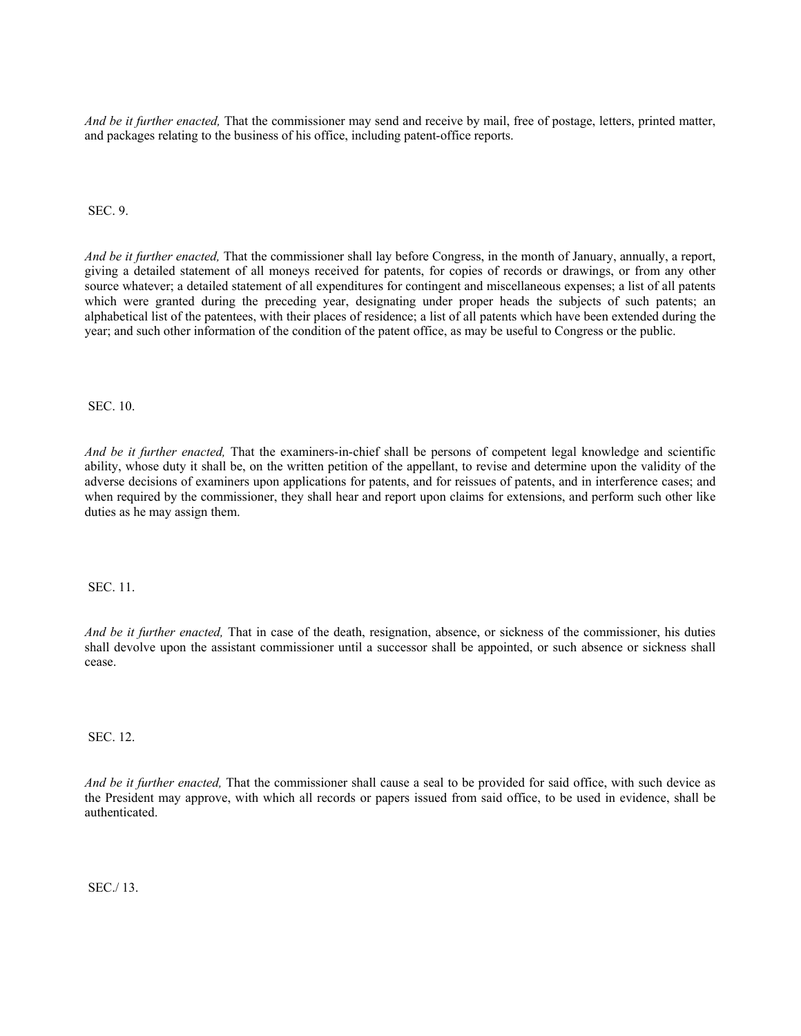*And be it further enacted,* That the commissioner may send and receive by mail, free of postage, letters, printed matter, and packages relating to the business of his office, including patent-office reports.

SEC. 9.

*And be it further enacted,* That the commissioner shall lay before Congress, in the month of January, annually, a report, giving a detailed statement of all moneys received for patents, for copies of records or drawings, or from any other source whatever; a detailed statement of all expenditures for contingent and miscellaneous expenses; a list of all patents which were granted during the preceding year, designating under proper heads the subjects of such patents; an alphabetical list of the patentees, with their places of residence; a list of all patents which have been extended during the year; and such other information of the condition of the patent office, as may be useful to Congress or the public.

SEC. 10.

*And be it further enacted,* That the examiners-in-chief shall be persons of competent legal knowledge and scientific ability, whose duty it shall be, on the written petition of the appellant, to revise and determine upon the validity of the adverse decisions of examiners upon applications for patents, and for reissues of patents, and in interference cases; and when required by the commissioner, they shall hear and report upon claims for extensions, and perform such other like duties as he may assign them.

SEC. 11.

*And be it further enacted,* That in case of the death, resignation, absence, or sickness of the commissioner, his duties shall devolve upon the assistant commissioner until a successor shall be appointed, or such absence or sickness shall cease.

SEC. 12.

*And be it further enacted,* That the commissioner shall cause a seal to be provided for said office, with such device as the President may approve, with which all records or papers issued from said office, to be used in evidence, shall be authenticated.

SEC./ 13.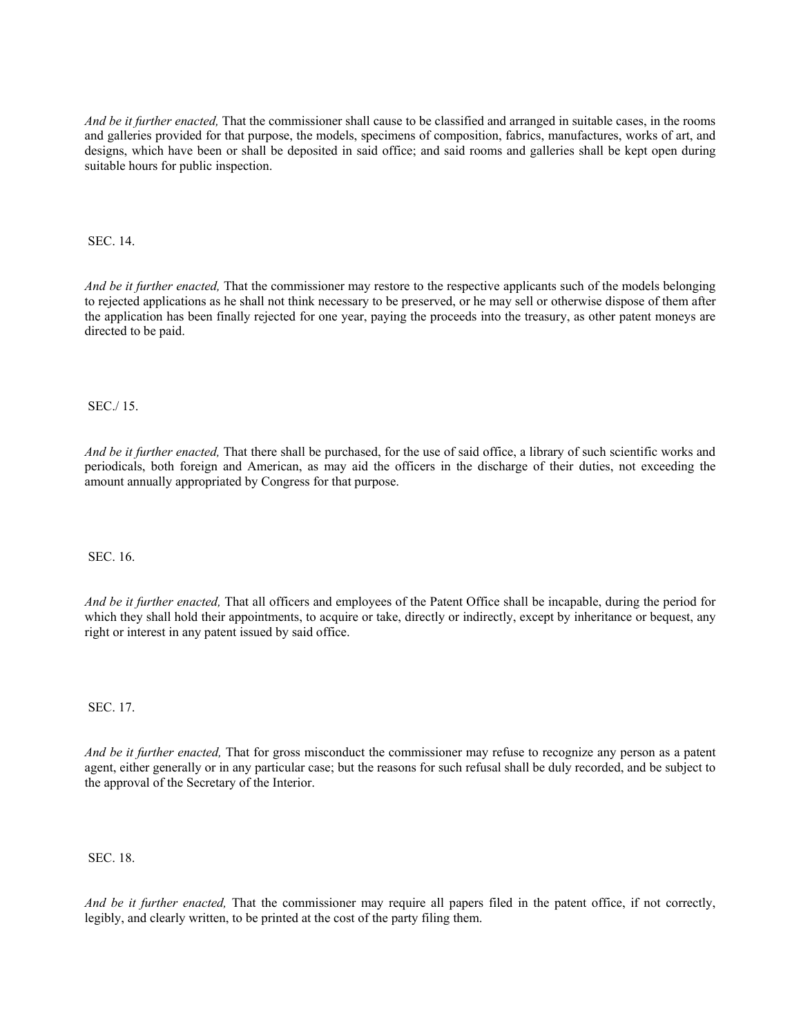*And be it further enacted,* That the commissioner shall cause to be classified and arranged in suitable cases, in the rooms and galleries provided for that purpose, the models, specimens of composition, fabrics, manufactures, works of art, and designs, which have been or shall be deposited in said office; and said rooms and galleries shall be kept open during suitable hours for public inspection.

SEC. 14.

*And be it further enacted,* That the commissioner may restore to the respective applicants such of the models belonging to rejected applications as he shall not think necessary to be preserved, or he may sell or otherwise dispose of them after the application has been finally rejected for one year, paying the proceeds into the treasury, as other patent moneys are directed to be paid.

SEC./ 15.

*And be it further enacted,* That there shall be purchased, for the use of said office, a library of such scientific works and periodicals, both foreign and American, as may aid the officers in the discharge of their duties, not exceeding the amount annually appropriated by Congress for that purpose.

SEC. 16.

*And be it further enacted,* That all officers and employees of the Patent Office shall be incapable, during the period for which they shall hold their appointments, to acquire or take, directly or indirectly, except by inheritance or bequest, any right or interest in any patent issued by said office.

SEC. 17.

*And be it further enacted,* That for gross misconduct the commissioner may refuse to recognize any person as a patent agent, either generally or in any particular case; but the reasons for such refusal shall be duly recorded, and be subject to the approval of the Secretary of the Interior.

SEC. 18.

*And be it further enacted,* That the commissioner may require all papers filed in the patent office, if not correctly, legibly, and clearly written, to be printed at the cost of the party filing them.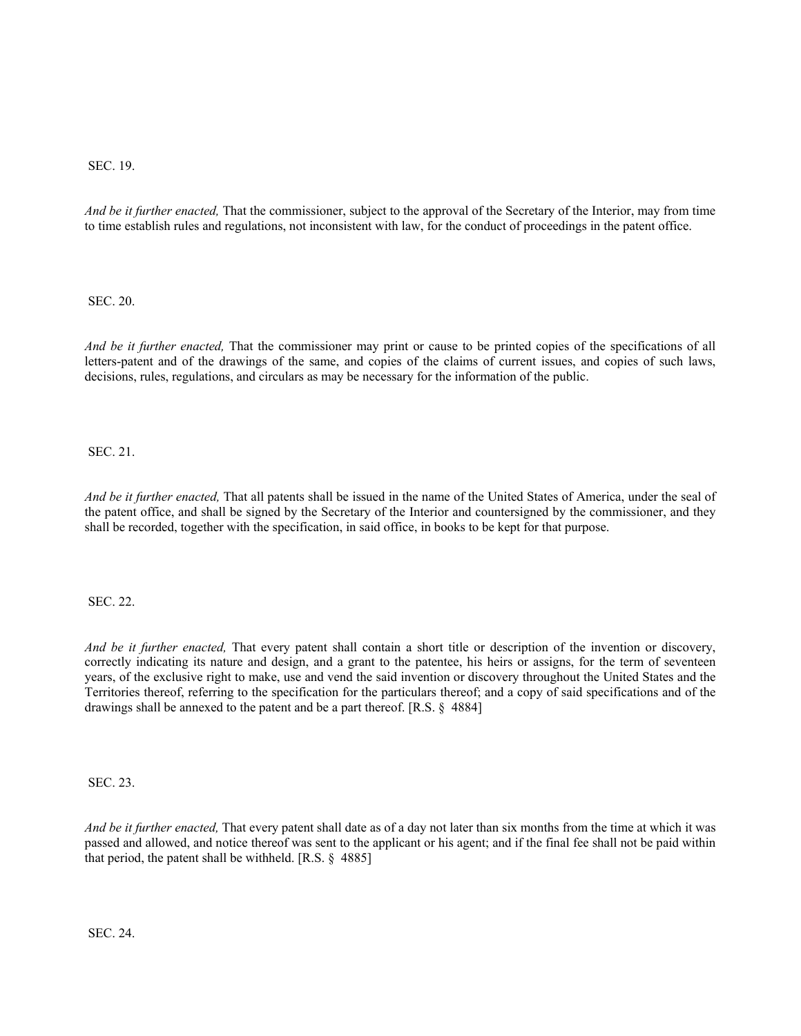# SEC. 19.

*And be it further enacted,* That the commissioner, subject to the approval of the Secretary of the Interior, may from time to time establish rules and regulations, not inconsistent with law, for the conduct of proceedings in the patent office.

SEC. 20.

*And be it further enacted,* That the commissioner may print or cause to be printed copies of the specifications of all letters-patent and of the drawings of the same, and copies of the claims of current issues, and copies of such laws, decisions, rules, regulations, and circulars as may be necessary for the information of the public.

SEC. 21.

*And be it further enacted,* That all patents shall be issued in the name of the United States of America, under the seal of the patent office, and shall be signed by the Secretary of the Interior and countersigned by the commissioner, and they shall be recorded, together with the specification, in said office, in books to be kept for that purpose.

SEC. 22.

*And be it further enacted,* That every patent shall contain a short title or description of the invention or discovery, correctly indicating its nature and design, and a grant to the patentee, his heirs or assigns, for the term of seventeen years, of the exclusive right to make, use and vend the said invention or discovery throughout the United States and the Territories thereof, referring to the specification for the particulars thereof; and a copy of said specifications and of the drawings shall be annexed to the patent and be a part thereof. [R.S. § 4884]

SEC. 23.

*And be it further enacted,* That every patent shall date as of a day not later than six months from the time at which it was passed and allowed, and notice thereof was sent to the applicant or his agent; and if the final fee shall not be paid within that period, the patent shall be withheld. [R.S. § 4885]

SEC. 24.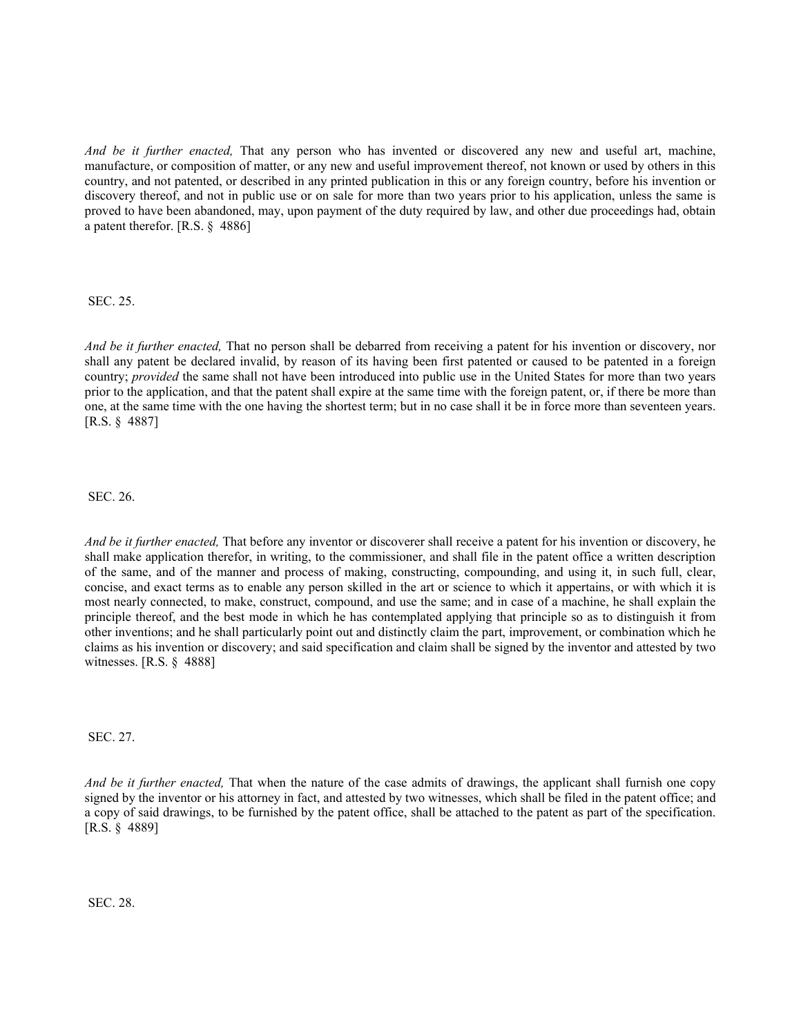*And be it further enacted,* That any person who has invented or discovered any new and useful art, machine, manufacture, or composition of matter, or any new and useful improvement thereof, not known or used by others in this country, and not patented, or described in any printed publication in this or any foreign country, before his invention or discovery thereof, and not in public use or on sale for more than two years prior to his application, unless the same is proved to have been abandoned, may, upon payment of the duty required by law, and other due proceedings had, obtain a patent therefor. [R.S. § 4886]

SEC. 25.

*And be it further enacted,* That no person shall be debarred from receiving a patent for his invention or discovery, nor shall any patent be declared invalid, by reason of its having been first patented or caused to be patented in a foreign country; *provided* the same shall not have been introduced into public use in the United States for more than two years prior to the application, and that the patent shall expire at the same time with the foreign patent, or, if there be more than one, at the same time with the one having the shortest term; but in no case shall it be in force more than seventeen years. [R.S. § 4887]

SEC. 26.

*And be it further enacted,* That before any inventor or discoverer shall receive a patent for his invention or discovery, he shall make application therefor, in writing, to the commissioner, and shall file in the patent office a written description of the same, and of the manner and process of making, constructing, compounding, and using it, in such full, clear, concise, and exact terms as to enable any person skilled in the art or science to which it appertains, or with which it is most nearly connected, to make, construct, compound, and use the same; and in case of a machine, he shall explain the principle thereof, and the best mode in which he has contemplated applying that principle so as to distinguish it from other inventions; and he shall particularly point out and distinctly claim the part, improvement, or combination which he claims as his invention or discovery; and said specification and claim shall be signed by the inventor and attested by two witnesses. [R.S. § 4888]

SEC. 27.

*And be it further enacted,* That when the nature of the case admits of drawings, the applicant shall furnish one copy signed by the inventor or his attorney in fact, and attested by two witnesses, which shall be filed in the patent office; and a copy of said drawings, to be furnished by the patent office, shall be attached to the patent as part of the specification. [R.S. § 4889]

SEC. 28.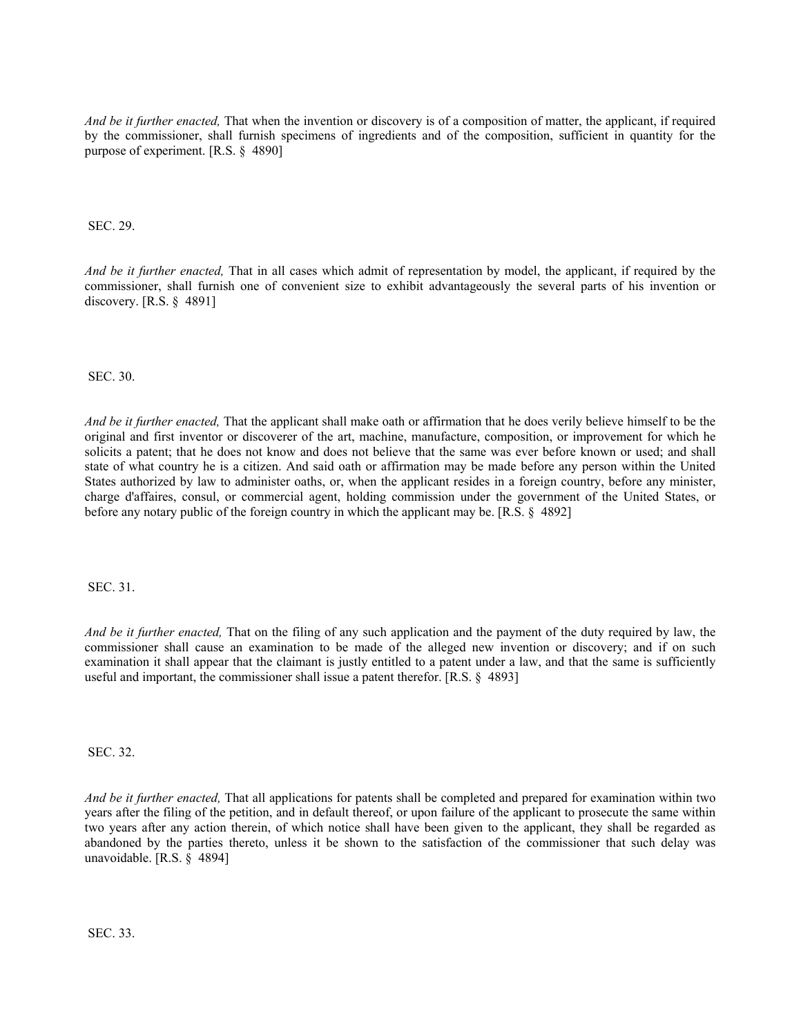*And be it further enacted,* That when the invention or discovery is of a composition of matter, the applicant, if required by the commissioner, shall furnish specimens of ingredients and of the composition, sufficient in quantity for the purpose of experiment. [R.S. § 4890]

SEC. 29.

*And be it further enacted,* That in all cases which admit of representation by model, the applicant, if required by the commissioner, shall furnish one of convenient size to exhibit advantageously the several parts of his invention or discovery. [R.S. § 4891]

SEC. 30.

*And be it further enacted,* That the applicant shall make oath or affirmation that he does verily believe himself to be the original and first inventor or discoverer of the art, machine, manufacture, composition, or improvement for which he solicits a patent; that he does not know and does not believe that the same was ever before known or used; and shall state of what country he is a citizen. And said oath or affirmation may be made before any person within the United States authorized by law to administer oaths, or, when the applicant resides in a foreign country, before any minister, charge d'affaires, consul, or commercial agent, holding commission under the government of the United States, or before any notary public of the foreign country in which the applicant may be. [R.S. § 4892]

SEC. 31.

*And be it further enacted,* That on the filing of any such application and the payment of the duty required by law, the commissioner shall cause an examination to be made of the alleged new invention or discovery; and if on such examination it shall appear that the claimant is justly entitled to a patent under a law, and that the same is sufficiently useful and important, the commissioner shall issue a patent therefor. [R.S. § 4893]

SEC. 32.

*And be it further enacted,* That all applications for patents shall be completed and prepared for examination within two years after the filing of the petition, and in default thereof, or upon failure of the applicant to prosecute the same within two years after any action therein, of which notice shall have been given to the applicant, they shall be regarded as abandoned by the parties thereto, unless it be shown to the satisfaction of the commissioner that such delay was unavoidable. [R.S. § 4894]

SEC. 33.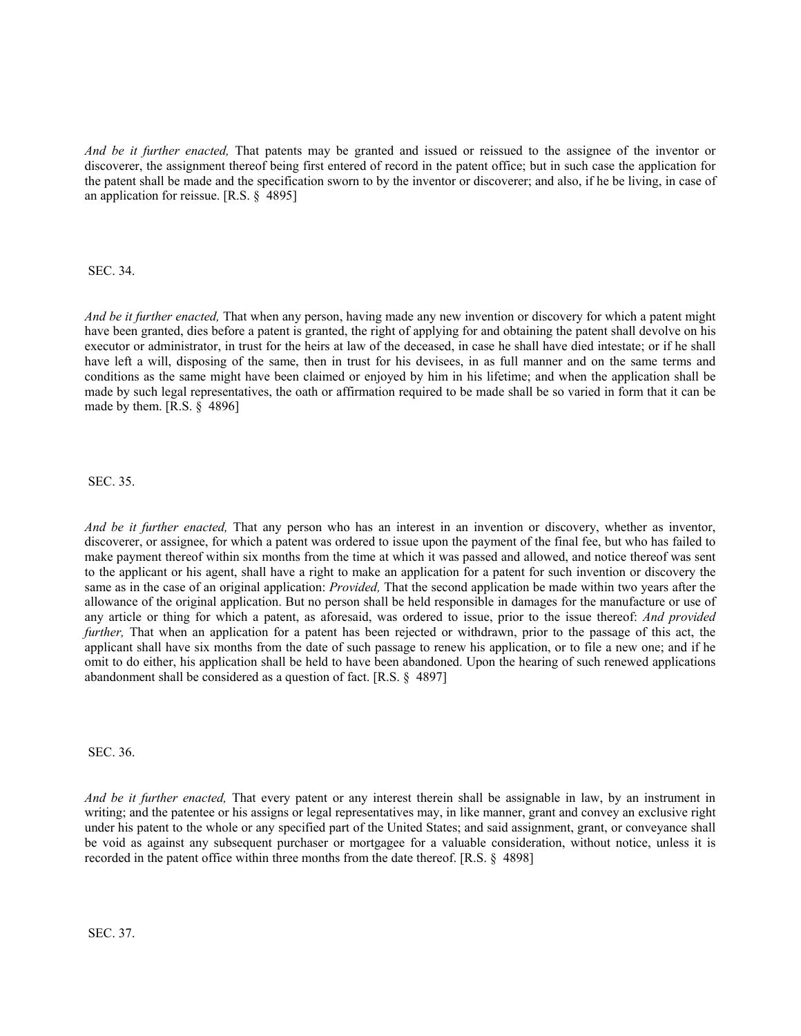*And be it further enacted,* That patents may be granted and issued or reissued to the assignee of the inventor or discoverer, the assignment thereof being first entered of record in the patent office; but in such case the application for the patent shall be made and the specification sworn to by the inventor or discoverer; and also, if he be living, in case of an application for reissue. [R.S. § 4895]

SEC. 34.

*And be it further enacted,* That when any person, having made any new invention or discovery for which a patent might have been granted, dies before a patent is granted, the right of applying for and obtaining the patent shall devolve on his executor or administrator, in trust for the heirs at law of the deceased, in case he shall have died intestate; or if he shall have left a will, disposing of the same, then in trust for his devisees, in as full manner and on the same terms and conditions as the same might have been claimed or enjoyed by him in his lifetime; and when the application shall be made by such legal representatives, the oath or affirmation required to be made shall be so varied in form that it can be made by them.  $[R.S. \S 4896]$ 

SEC. 35.

*And be it further enacted,* That any person who has an interest in an invention or discovery, whether as inventor, discoverer, or assignee, for which a patent was ordered to issue upon the payment of the final fee, but who has failed to make payment thereof within six months from the time at which it was passed and allowed, and notice thereof was sent to the applicant or his agent, shall have a right to make an application for a patent for such invention or discovery the same as in the case of an original application: *Provided,* That the second application be made within two years after the allowance of the original application. But no person shall be held responsible in damages for the manufacture or use of any article or thing for which a patent, as aforesaid, was ordered to issue, prior to the issue thereof: *And provided further*, That when an application for a patent has been rejected or withdrawn, prior to the passage of this act, the applicant shall have six months from the date of such passage to renew his application, or to file a new one; and if he omit to do either, his application shall be held to have been abandoned. Upon the hearing of such renewed applications abandonment shall be considered as a question of fact. [R.S. § 4897]

SEC. 36.

*And be it further enacted,* That every patent or any interest therein shall be assignable in law, by an instrument in writing; and the patentee or his assigns or legal representatives may, in like manner, grant and convey an exclusive right under his patent to the whole or any specified part of the United States; and said assignment, grant, or conveyance shall be void as against any subsequent purchaser or mortgagee for a valuable consideration, without notice, unless it is recorded in the patent office within three months from the date thereof. [R.S. § 4898]

SEC. 37.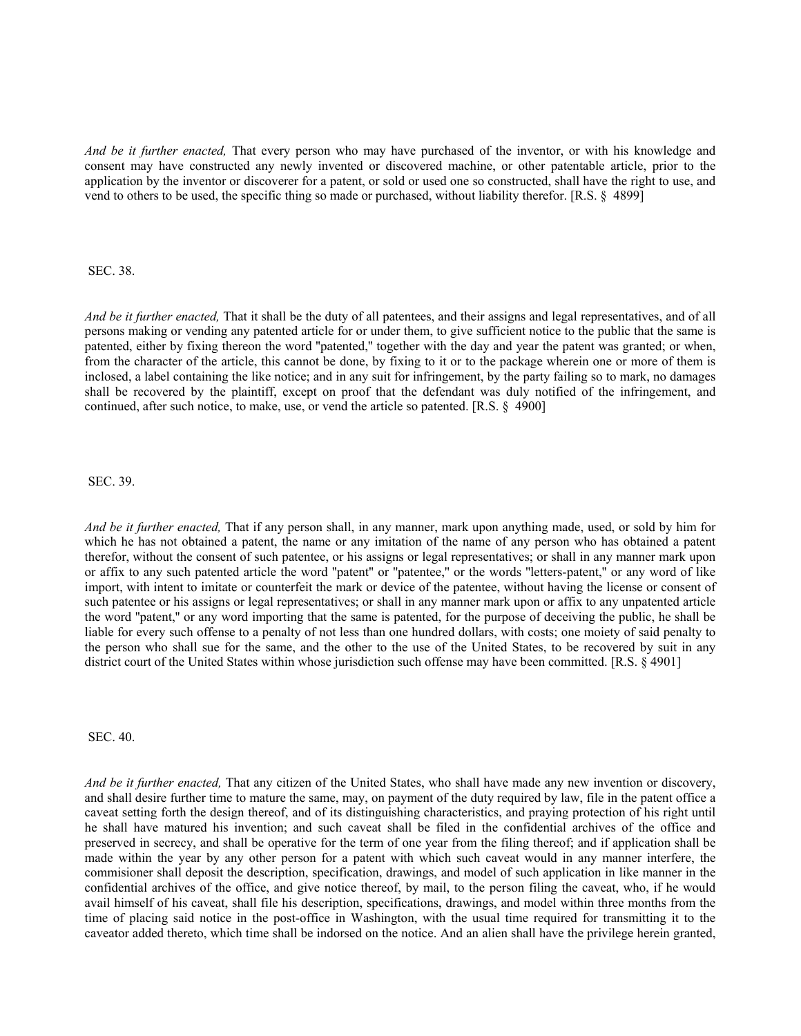*And be it further enacted,* That every person who may have purchased of the inventor, or with his knowledge and consent may have constructed any newly invented or discovered machine, or other patentable article, prior to the application by the inventor or discoverer for a patent, or sold or used one so constructed, shall have the right to use, and vend to others to be used, the specific thing so made or purchased, without liability therefor. [R.S. § 4899]

SEC. 38.

*And be it further enacted,* That it shall be the duty of all patentees, and their assigns and legal representatives, and of all persons making or vending any patented article for or under them, to give sufficient notice to the public that the same is patented, either by fixing thereon the word ''patented,'' together with the day and year the patent was granted; or when, from the character of the article, this cannot be done, by fixing to it or to the package wherein one or more of them is inclosed, a label containing the like notice; and in any suit for infringement, by the party failing so to mark, no damages shall be recovered by the plaintiff, except on proof that the defendant was duly notified of the infringement, and continued, after such notice, to make, use, or vend the article so patented. [R.S. § 4900]

SEC. 39.

*And be it further enacted,* That if any person shall, in any manner, mark upon anything made, used, or sold by him for which he has not obtained a patent, the name or any imitation of the name of any person who has obtained a patent therefor, without the consent of such patentee, or his assigns or legal representatives; or shall in any manner mark upon or affix to any such patented article the word ''patent'' or ''patentee,'' or the words ''letters-patent,'' or any word of like import, with intent to imitate or counterfeit the mark or device of the patentee, without having the license or consent of such patentee or his assigns or legal representatives; or shall in any manner mark upon or affix to any unpatented article the word ''patent,'' or any word importing that the same is patented, for the purpose of deceiving the public, he shall be liable for every such offense to a penalty of not less than one hundred dollars, with costs; one moiety of said penalty to the person who shall sue for the same, and the other to the use of the United States, to be recovered by suit in any district court of the United States within whose jurisdiction such offense may have been committed. [R.S. § 4901]

SEC. 40.

*And be it further enacted,* That any citizen of the United States, who shall have made any new invention or discovery, and shall desire further time to mature the same, may, on payment of the duty required by law, file in the patent office a caveat setting forth the design thereof, and of its distinguishing characteristics, and praying protection of his right until he shall have matured his invention; and such caveat shall be filed in the confidential archives of the office and preserved in secrecy, and shall be operative for the term of one year from the filing thereof; and if application shall be made within the year by any other person for a patent with which such caveat would in any manner interfere, the commisioner shall deposit the description, specification, drawings, and model of such application in like manner in the confidential archives of the office, and give notice thereof, by mail, to the person filing the caveat, who, if he would avail himself of his caveat, shall file his description, specifications, drawings, and model within three months from the time of placing said notice in the post-office in Washington, with the usual time required for transmitting it to the caveator added thereto, which time shall be indorsed on the notice. And an alien shall have the privilege herein granted,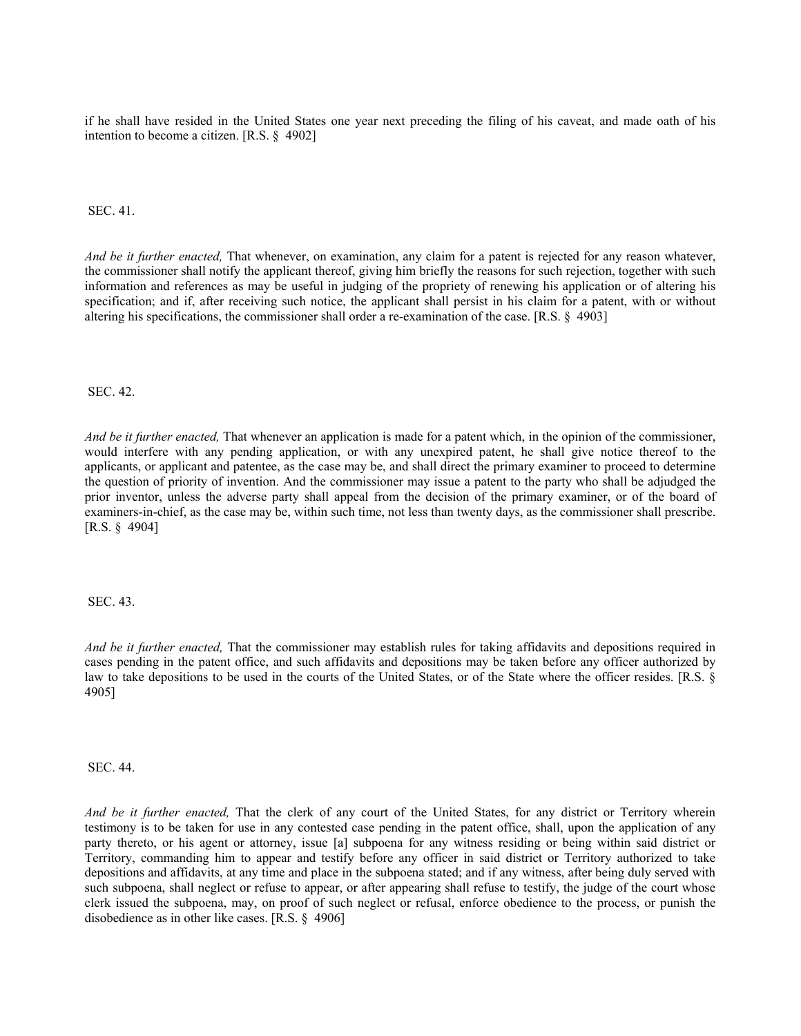if he shall have resided in the United States one year next preceding the filing of his caveat, and made oath of his intention to become a citizen. [R.S. § 4902]

SEC. 41.

*And be it further enacted,* That whenever, on examination, any claim for a patent is rejected for any reason whatever, the commissioner shall notify the applicant thereof, giving him briefly the reasons for such rejection, together with such information and references as may be useful in judging of the propriety of renewing his application or of altering his specification; and if, after receiving such notice, the applicant shall persist in his claim for a patent, with or without altering his specifications, the commissioner shall order a re-examination of the case. [R.S. § 4903]

SEC. 42.

*And be it further enacted,* That whenever an application is made for a patent which, in the opinion of the commissioner, would interfere with any pending application, or with any unexpired patent, he shall give notice thereof to the applicants, or applicant and patentee, as the case may be, and shall direct the primary examiner to proceed to determine the question of priority of invention. And the commissioner may issue a patent to the party who shall be adjudged the prior inventor, unless the adverse party shall appeal from the decision of the primary examiner, or of the board of examiners-in-chief, as the case may be, within such time, not less than twenty days, as the commissioner shall prescribe. [R.S. § 4904]

SEC. 43.

*And be it further enacted,* That the commissioner may establish rules for taking affidavits and depositions required in cases pending in the patent office, and such affidavits and depositions may be taken before any officer authorized by law to take depositions to be used in the courts of the United States, or of the State where the officer resides. [R.S. § 4905]

SEC. 44.

*And be it further enacted,* That the clerk of any court of the United States, for any district or Territory wherein testimony is to be taken for use in any contested case pending in the patent office, shall, upon the application of any party thereto, or his agent or attorney, issue [a] subpoena for any witness residing or being within said district or Territory, commanding him to appear and testify before any officer in said district or Territory authorized to take depositions and affidavits, at any time and place in the subpoena stated; and if any witness, after being duly served with such subpoena, shall neglect or refuse to appear, or after appearing shall refuse to testify, the judge of the court whose clerk issued the subpoena, may, on proof of such neglect or refusal, enforce obedience to the process, or punish the disobedience as in other like cases. [R.S. § 4906]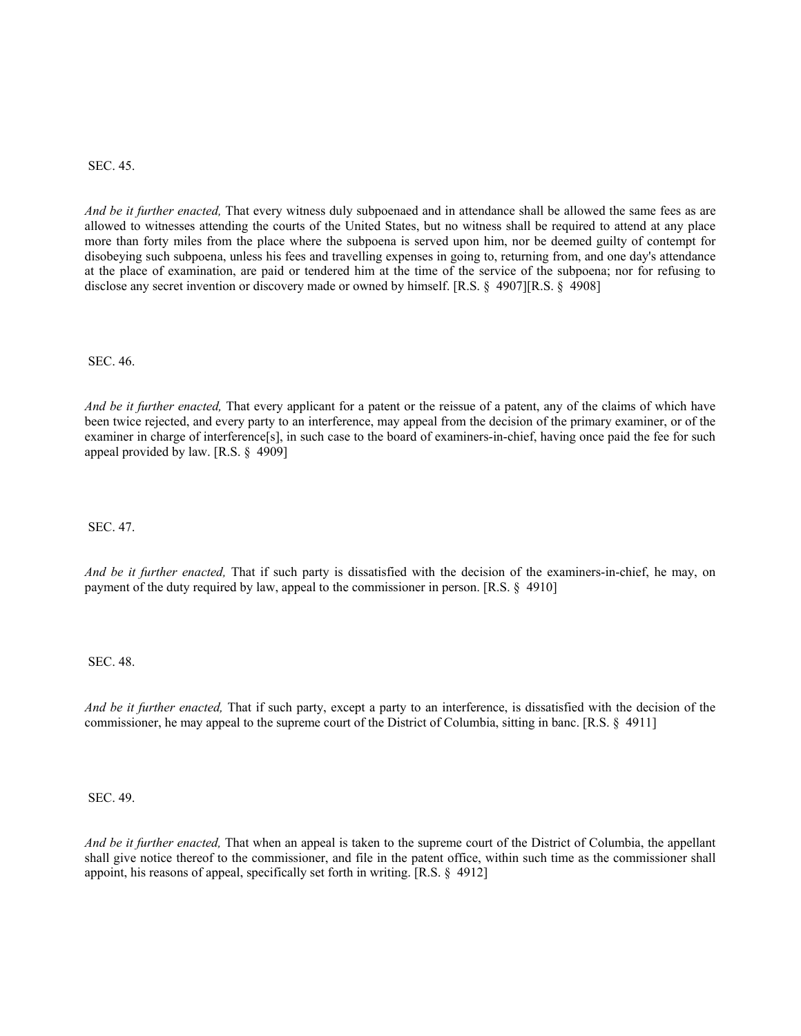SEC. 45.

*And be it further enacted,* That every witness duly subpoenaed and in attendance shall be allowed the same fees as are allowed to witnesses attending the courts of the United States, but no witness shall be required to attend at any place more than forty miles from the place where the subpoena is served upon him, nor be deemed guilty of contempt for disobeying such subpoena, unless his fees and travelling expenses in going to, returning from, and one day's attendance at the place of examination, are paid or tendered him at the time of the service of the subpoena; nor for refusing to disclose any secret invention or discovery made or owned by himself. [R.S. § 4907][R.S. § 4908]

SEC. 46.

*And be it further enacted,* That every applicant for a patent or the reissue of a patent, any of the claims of which have been twice rejected, and every party to an interference, may appeal from the decision of the primary examiner, or of the examiner in charge of interference[s], in such case to the board of examiners-in-chief, having once paid the fee for such appeal provided by law. [R.S. § 4909]

SEC. 47.

*And be it further enacted,* That if such party is dissatisfied with the decision of the examiners-in-chief, he may, on payment of the duty required by law, appeal to the commissioner in person. [R.S. § 4910]

SEC. 48.

*And be it further enacted,* That if such party, except a party to an interference, is dissatisfied with the decision of the commissioner, he may appeal to the supreme court of the District of Columbia, sitting in banc. [R.S. § 4911]

SEC. 49.

*And be it further enacted,* That when an appeal is taken to the supreme court of the District of Columbia, the appellant shall give notice thereof to the commissioner, and file in the patent office, within such time as the commissioner shall appoint, his reasons of appeal, specifically set forth in writing. [R.S. § 4912]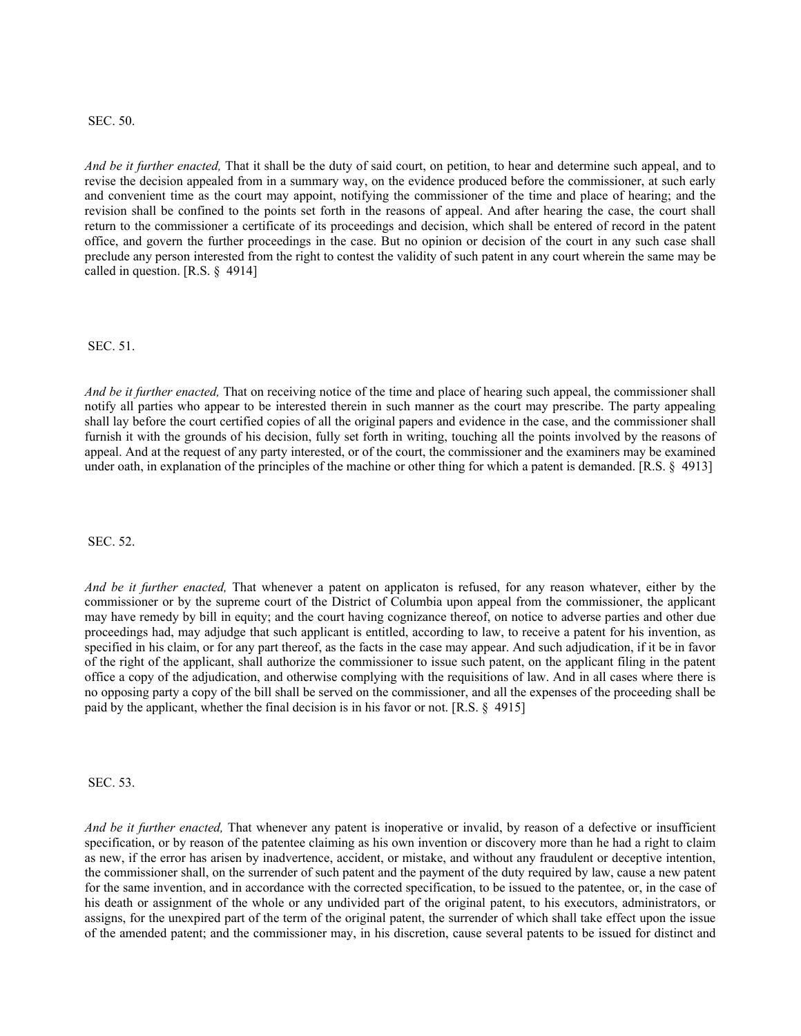### SEC. 50.

*And be it further enacted,* That it shall be the duty of said court, on petition, to hear and determine such appeal, and to revise the decision appealed from in a summary way, on the evidence produced before the commissioner, at such early and convenient time as the court may appoint, notifying the commissioner of the time and place of hearing; and the revision shall be confined to the points set forth in the reasons of appeal. And after hearing the case, the court shall return to the commissioner a certificate of its proceedings and decision, which shall be entered of record in the patent office, and govern the further proceedings in the case. But no opinion or decision of the court in any such case shall preclude any person interested from the right to contest the validity of such patent in any court wherein the same may be called in question. [R.S. § 4914]

### SEC. 51.

*And be it further enacted,* That on receiving notice of the time and place of hearing such appeal, the commissioner shall notify all parties who appear to be interested therein in such manner as the court may prescribe. The party appealing shall lay before the court certified copies of all the original papers and evidence in the case, and the commissioner shall furnish it with the grounds of his decision, fully set forth in writing, touching all the points involved by the reasons of appeal. And at the request of any party interested, or of the court, the commissioner and the examiners may be examined under oath, in explanation of the principles of the machine or other thing for which a patent is demanded. [R.S. § 4913]

SEC. 52.

*And be it further enacted,* That whenever a patent on applicaton is refused, for any reason whatever, either by the commissioner or by the supreme court of the District of Columbia upon appeal from the commissioner, the applicant may have remedy by bill in equity; and the court having cognizance thereof, on notice to adverse parties and other due proceedings had, may adjudge that such applicant is entitled, according to law, to receive a patent for his invention, as specified in his claim, or for any part thereof, as the facts in the case may appear. And such adjudication, if it be in favor of the right of the applicant, shall authorize the commissioner to issue such patent, on the applicant filing in the patent office a copy of the adjudication, and otherwise complying with the requisitions of law. And in all cases where there is no opposing party a copy of the bill shall be served on the commissioner, and all the expenses of the proceeding shall be paid by the applicant, whether the final decision is in his favor or not. [R.S. § 4915]

SEC. 53.

*And be it further enacted,* That whenever any patent is inoperative or invalid, by reason of a defective or insufficient specification, or by reason of the patentee claiming as his own invention or discovery more than he had a right to claim as new, if the error has arisen by inadvertence, accident, or mistake, and without any fraudulent or deceptive intention, the commissioner shall, on the surrender of such patent and the payment of the duty required by law, cause a new patent for the same invention, and in accordance with the corrected specification, to be issued to the patentee, or, in the case of his death or assignment of the whole or any undivided part of the original patent, to his executors, administrators, or assigns, for the unexpired part of the term of the original patent, the surrender of which shall take effect upon the issue of the amended patent; and the commissioner may, in his discretion, cause several patents to be issued for distinct and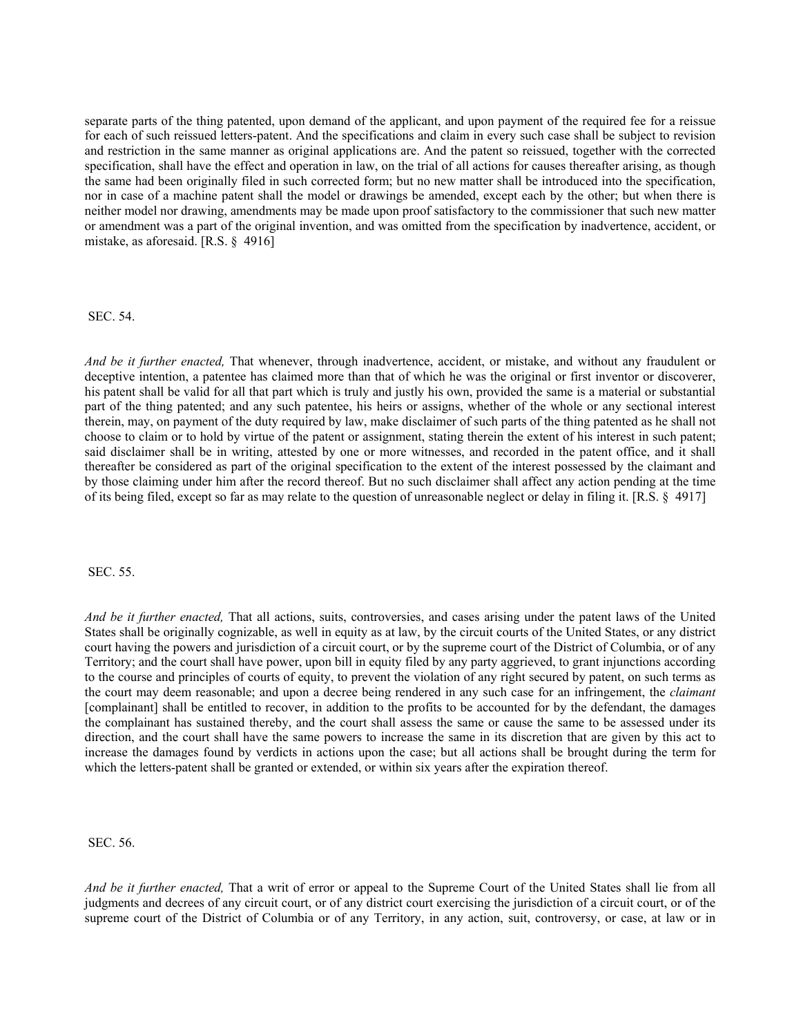separate parts of the thing patented, upon demand of the applicant, and upon payment of the required fee for a reissue for each of such reissued letters-patent. And the specifications and claim in every such case shall be subject to revision and restriction in the same manner as original applications are. And the patent so reissued, together with the corrected specification, shall have the effect and operation in law, on the trial of all actions for causes thereafter arising, as though the same had been originally filed in such corrected form; but no new matter shall be introduced into the specification, nor in case of a machine patent shall the model or drawings be amended, except each by the other; but when there is neither model nor drawing, amendments may be made upon proof satisfactory to the commissioner that such new matter or amendment was a part of the original invention, and was omitted from the specification by inadvertence, accident, or mistake, as aforesaid. [R.S. § 4916]

### SEC. 54.

*And be it further enacted,* That whenever, through inadvertence, accident, or mistake, and without any fraudulent or deceptive intention, a patentee has claimed more than that of which he was the original or first inventor or discoverer, his patent shall be valid for all that part which is truly and justly his own, provided the same is a material or substantial part of the thing patented; and any such patentee, his heirs or assigns, whether of the whole or any sectional interest therein, may, on payment of the duty required by law, make disclaimer of such parts of the thing patented as he shall not choose to claim or to hold by virtue of the patent or assignment, stating therein the extent of his interest in such patent; said disclaimer shall be in writing, attested by one or more witnesses, and recorded in the patent office, and it shall thereafter be considered as part of the original specification to the extent of the interest possessed by the claimant and by those claiming under him after the record thereof. But no such disclaimer shall affect any action pending at the time of its being filed, except so far as may relate to the question of unreasonable neglect or delay in filing it. [R.S. § 4917]

SEC. 55.

*And be it further enacted,* That all actions, suits, controversies, and cases arising under the patent laws of the United States shall be originally cognizable, as well in equity as at law, by the circuit courts of the United States, or any district court having the powers and jurisdiction of a circuit court, or by the supreme court of the District of Columbia, or of any Territory; and the court shall have power, upon bill in equity filed by any party aggrieved, to grant injunctions according to the course and principles of courts of equity, to prevent the violation of any right secured by patent, on such terms as the court may deem reasonable; and upon a decree being rendered in any such case for an infringement, the *claimant* [complainant] shall be entitled to recover, in addition to the profits to be accounted for by the defendant, the damages the complainant has sustained thereby, and the court shall assess the same or cause the same to be assessed under its direction, and the court shall have the same powers to increase the same in its discretion that are given by this act to increase the damages found by verdicts in actions upon the case; but all actions shall be brought during the term for which the letters-patent shall be granted or extended, or within six years after the expiration thereof.

SEC. 56.

*And be it further enacted,* That a writ of error or appeal to the Supreme Court of the United States shall lie from all judgments and decrees of any circuit court, or of any district court exercising the jurisdiction of a circuit court, or of the supreme court of the District of Columbia or of any Territory, in any action, suit, controversy, or case, at law or in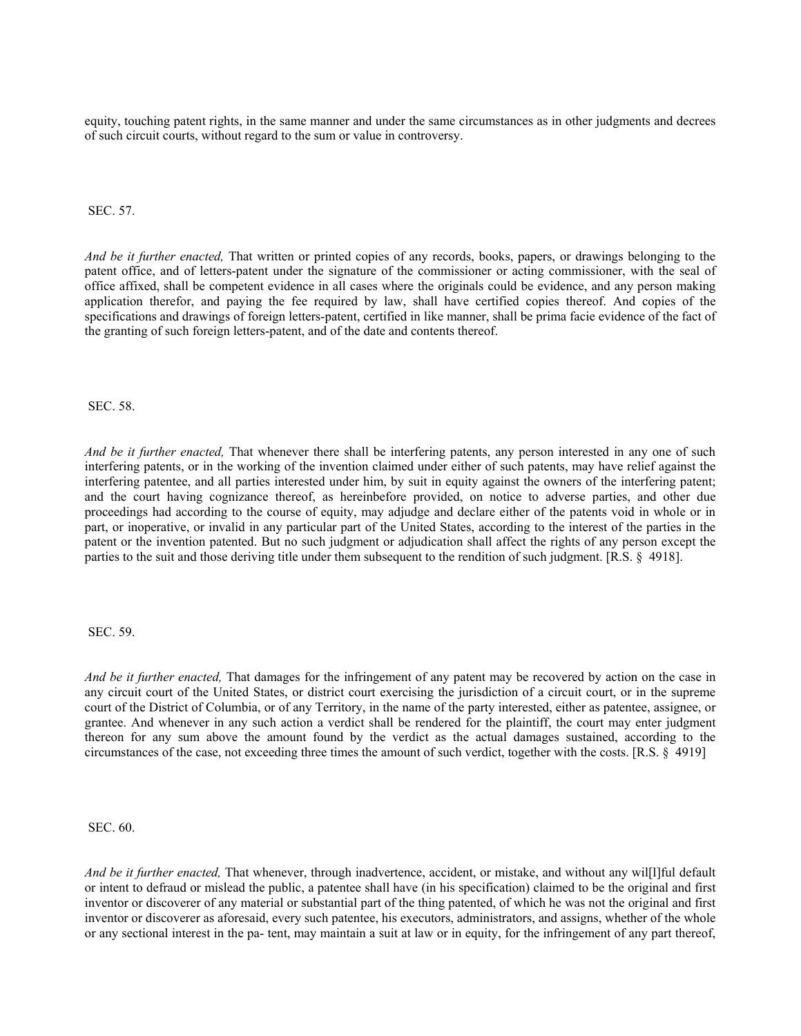equity, touching patent rights, in the same manner and under the same circumstances as in other judgments and decrees of such circuit courts, without regard to the sum or value in controversy.

SEC. 57.

*And be it further enacted,* That written or printed copies of any records, books, papers, or drawings belonging to the patent office, and of letters-patent under the signature of the commissioner or acting commissioner, with the seal of office affixed, shall be competent evidence in all cases where the originals could be evidence, and any person making application therefor, and paying the fee required by law, shall have certified copies thereof. And copies of the specifications and drawings of foreign letters-patent, certified in like manner, shall be prima facie evidence of the fact of the granting of such foreign letters-patent, and of the date and contents thereof.

SEC. 58.

*And be it further enacted,* That whenever there shall be interfering patents, any person interested in any one of such interfering patents, or in the working of the invention claimed under either of such patents, may have relief against the interfering patentee, and all parties interested under him, by suit in equity against the owners of the interfering patent; and the court having cognizance thereof, as hereinbefore provided, on notice to adverse parties, and other due proceedings had according to the course of equity, may adjudge and declare either of the patents void in whole or in part, or inoperative, or invalid in any particular part of the United States, according to the interest of the parties in the patent or the invention patented. But no such judgment or adjudication shall affect the rights of any person except the parties to the suit and those deriving title under them subsequent to the rendition of such judgment. [R.S. § 4918].

### SEC. 59.

*And be it further enacted,* That damages for the infringement of any patent may be recovered by action on the case in any circuit court of the United States, or district court exercising the jurisdiction of a circuit court, or in the supreme court of the District of Columbia, or of any Territory, in the name of the party interested, either as patentee, assignee, or grantee. And whenever in any such action a verdict shall be rendered for the plaintiff, the court may enter judgment thereon for any sum above the amount found by the verdict as the actual damages sustained, according to the circumstances of the case, not exceeding three times the amount of such verdict, together with the costs. [R.S. § 4919]

SEC. 60.

*And be it further enacted,* That whenever, through inadvertence, accident, or mistake, and without any wil[l]ful default or intent to defraud or mislead the public, a patentee shall have (in his specification) claimed to be the original and first inventor or discoverer of any material or substantial part of the thing patented, of which he was not the original and first inventor or discoverer as aforesaid, every such patentee, his executors, administrators, and assigns, whether of the whole or any sectional interest in the pa- tent, may maintain a suit at law or in equity, for the infringement of any part thereof,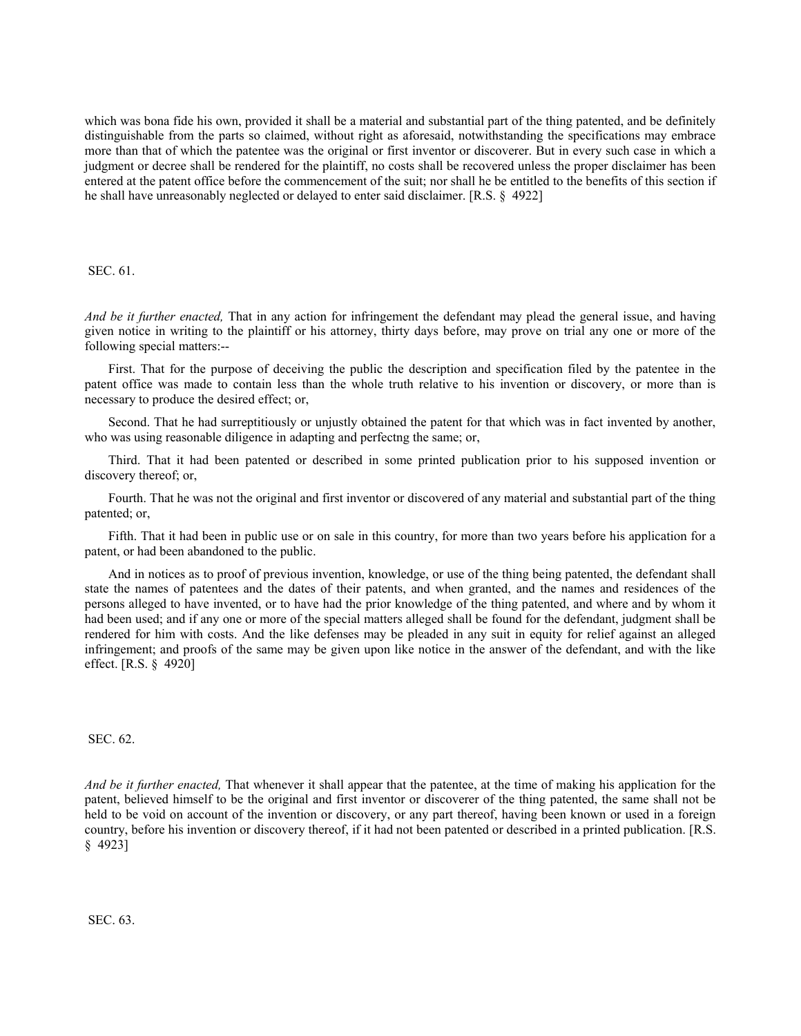which was bona fide his own, provided it shall be a material and substantial part of the thing patented, and be definitely distinguishable from the parts so claimed, without right as aforesaid, notwithstanding the specifications may embrace more than that of which the patentee was the original or first inventor or discoverer. But in every such case in which a judgment or decree shall be rendered for the plaintiff, no costs shall be recovered unless the proper disclaimer has been entered at the patent office before the commencement of the suit; nor shall he be entitled to the benefits of this section if he shall have unreasonably neglected or delayed to enter said disclaimer. [R.S. § 4922]

SEC. 61.

*And be it further enacted,* That in any action for infringement the defendant may plead the general issue, and having given notice in writing to the plaintiff or his attorney, thirty days before, may prove on trial any one or more of the following special matters:--

First. That for the purpose of deceiving the public the description and specification filed by the patentee in the patent office was made to contain less than the whole truth relative to his invention or discovery, or more than is necessary to produce the desired effect; or,

Second. That he had surreptitiously or unjustly obtained the patent for that which was in fact invented by another, who was using reasonable diligence in adapting and perfectng the same; or,

Third. That it had been patented or described in some printed publication prior to his supposed invention or discovery thereof; or,

Fourth. That he was not the original and first inventor or discovered of any material and substantial part of the thing patented; or,

Fifth. That it had been in public use or on sale in this country, for more than two years before his application for a patent, or had been abandoned to the public.

And in notices as to proof of previous invention, knowledge, or use of the thing being patented, the defendant shall state the names of patentees and the dates of their patents, and when granted, and the names and residences of the persons alleged to have invented, or to have had the prior knowledge of the thing patented, and where and by whom it had been used; and if any one or more of the special matters alleged shall be found for the defendant, judgment shall be rendered for him with costs. And the like defenses may be pleaded in any suit in equity for relief against an alleged infringement; and proofs of the same may be given upon like notice in the answer of the defendant, and with the like effect. [R.S. § 4920]

SEC. 62.

*And be it further enacted,* That whenever it shall appear that the patentee, at the time of making his application for the patent, believed himself to be the original and first inventor or discoverer of the thing patented, the same shall not be held to be void on account of the invention or discovery, or any part thereof, having been known or used in a foreign country, before his invention or discovery thereof, if it had not been patented or described in a printed publication. [R.S. § 4923]

SEC. 63.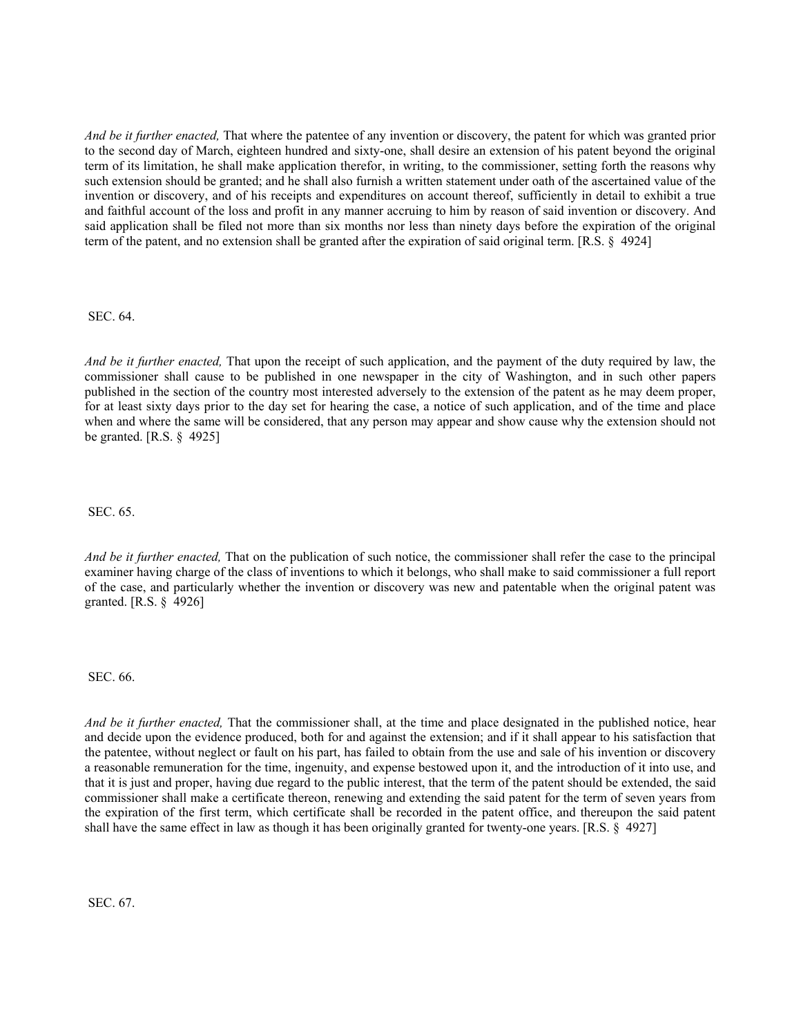*And be it further enacted,* That where the patentee of any invention or discovery, the patent for which was granted prior to the second day of March, eighteen hundred and sixty-one, shall desire an extension of his patent beyond the original term of its limitation, he shall make application therefor, in writing, to the commissioner, setting forth the reasons why such extension should be granted; and he shall also furnish a written statement under oath of the ascertained value of the invention or discovery, and of his receipts and expenditures on account thereof, sufficiently in detail to exhibit a true and faithful account of the loss and profit in any manner accruing to him by reason of said invention or discovery. And said application shall be filed not more than six months nor less than ninety days before the expiration of the original term of the patent, and no extension shall be granted after the expiration of said original term. [R.S. § 4924]

SEC. 64.

*And be it further enacted,* That upon the receipt of such application, and the payment of the duty required by law, the commissioner shall cause to be published in one newspaper in the city of Washington, and in such other papers published in the section of the country most interested adversely to the extension of the patent as he may deem proper, for at least sixty days prior to the day set for hearing the case, a notice of such application, and of the time and place when and where the same will be considered, that any person may appear and show cause why the extension should not be granted. [R.S. § 4925]

SEC. 65.

*And be it further enacted,* That on the publication of such notice, the commissioner shall refer the case to the principal examiner having charge of the class of inventions to which it belongs, who shall make to said commissioner a full report of the case, and particularly whether the invention or discovery was new and patentable when the original patent was granted. [R.S. § 4926]

SEC. 66.

*And be it further enacted,* That the commissioner shall, at the time and place designated in the published notice, hear and decide upon the evidence produced, both for and against the extension; and if it shall appear to his satisfaction that the patentee, without neglect or fault on his part, has failed to obtain from the use and sale of his invention or discovery a reasonable remuneration for the time, ingenuity, and expense bestowed upon it, and the introduction of it into use, and that it is just and proper, having due regard to the public interest, that the term of the patent should be extended, the said commissioner shall make a certificate thereon, renewing and extending the said patent for the term of seven years from the expiration of the first term, which certificate shall be recorded in the patent office, and thereupon the said patent shall have the same effect in law as though it has been originally granted for twenty-one years. [R.S. § 4927]

SEC. 67.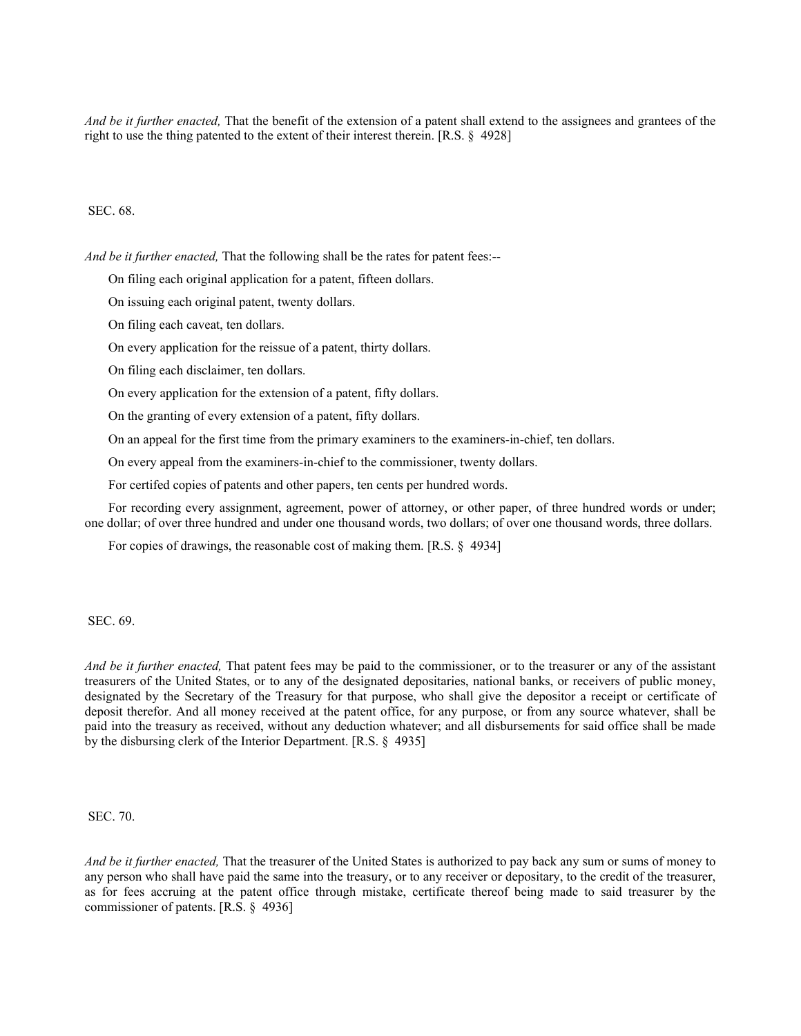*And be it further enacted,* That the benefit of the extension of a patent shall extend to the assignees and grantees of the right to use the thing patented to the extent of their interest therein. [R.S. § 4928]

SEC. 68.

*And be it further enacted,* That the following shall be the rates for patent fees:--

On filing each original application for a patent, fifteen dollars.

On issuing each original patent, twenty dollars.

On filing each caveat, ten dollars.

On every application for the reissue of a patent, thirty dollars.

On filing each disclaimer, ten dollars.

On every application for the extension of a patent, fifty dollars.

On the granting of every extension of a patent, fifty dollars.

On an appeal for the first time from the primary examiners to the examiners-in-chief, ten dollars.

On every appeal from the examiners-in-chief to the commissioner, twenty dollars.

For certifed copies of patents and other papers, ten cents per hundred words.

For recording every assignment, agreement, power of attorney, or other paper, of three hundred words or under; one dollar; of over three hundred and under one thousand words, two dollars; of over one thousand words, three dollars.

For copies of drawings, the reasonable cost of making them. [R.S. § 4934]

SEC. 69.

*And be it further enacted,* That patent fees may be paid to the commissioner, or to the treasurer or any of the assistant treasurers of the United States, or to any of the designated depositaries, national banks, or receivers of public money, designated by the Secretary of the Treasury for that purpose, who shall give the depositor a receipt or certificate of deposit therefor. And all money received at the patent office, for any purpose, or from any source whatever, shall be paid into the treasury as received, without any deduction whatever; and all disbursements for said office shall be made by the disbursing clerk of the Interior Department. [R.S. § 4935]

SEC. 70.

*And be it further enacted,* That the treasurer of the United States is authorized to pay back any sum or sums of money to any person who shall have paid the same into the treasury, or to any receiver or depositary, to the credit of the treasurer, as for fees accruing at the patent office through mistake, certificate thereof being made to said treasurer by the commissioner of patents. [R.S. § 4936]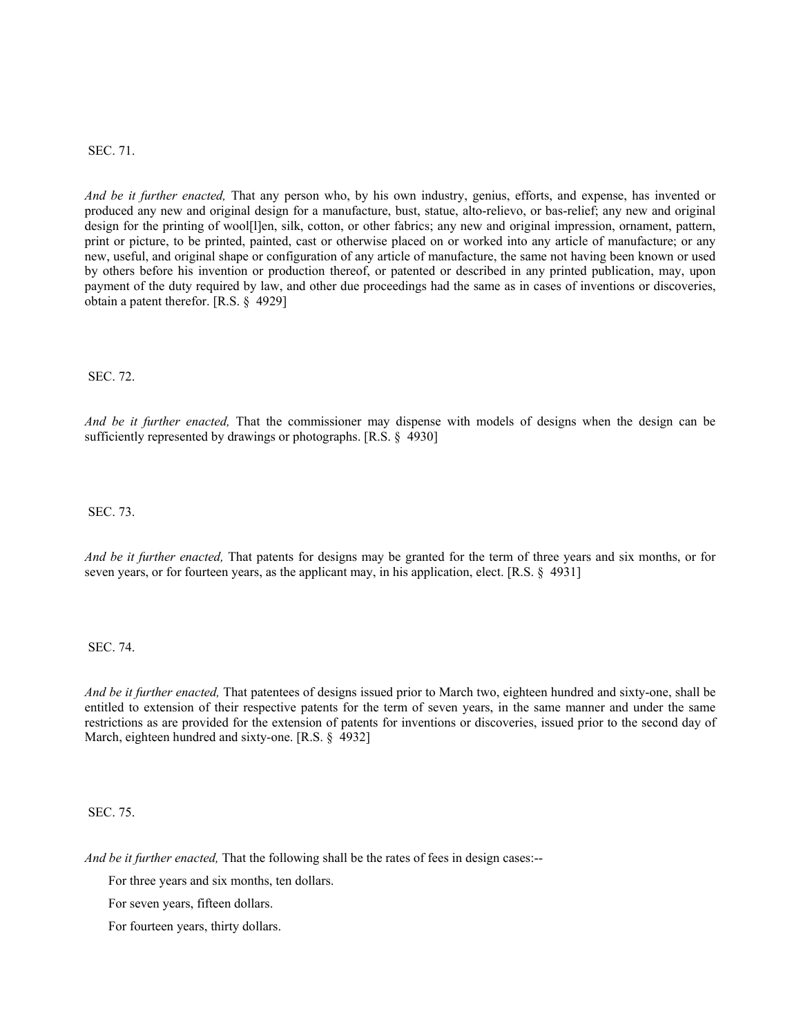SEC. 71.

*And be it further enacted,* That any person who, by his own industry, genius, efforts, and expense, has invented or produced any new and original design for a manufacture, bust, statue, alto-relievo, or bas-relief; any new and original design for the printing of wool[l]en, silk, cotton, or other fabrics; any new and original impression, ornament, pattern, print or picture, to be printed, painted, cast or otherwise placed on or worked into any article of manufacture; or any new, useful, and original shape or configuration of any article of manufacture, the same not having been known or used by others before his invention or production thereof, or patented or described in any printed publication, may, upon payment of the duty required by law, and other due proceedings had the same as in cases of inventions or discoveries, obtain a patent therefor. [R.S. § 4929]

SEC. 72.

*And be it further enacted,* That the commissioner may dispense with models of designs when the design can be sufficiently represented by drawings or photographs. [R.S. § 4930]

SEC. 73.

*And be it further enacted,* That patents for designs may be granted for the term of three years and six months, or for seven years, or for fourteen years, as the applicant may, in his application, elect. [R.S. § 4931]

SEC. 74.

*And be it further enacted,* That patentees of designs issued prior to March two, eighteen hundred and sixty-one, shall be entitled to extension of their respective patents for the term of seven years, in the same manner and under the same restrictions as are provided for the extension of patents for inventions or discoveries, issued prior to the second day of March, eighteen hundred and sixty-one. [R.S. § 4932]

SEC. 75.

*And be it further enacted,* That the following shall be the rates of fees in design cases:--

For three years and six months, ten dollars.

For seven years, fifteen dollars.

For fourteen years, thirty dollars.